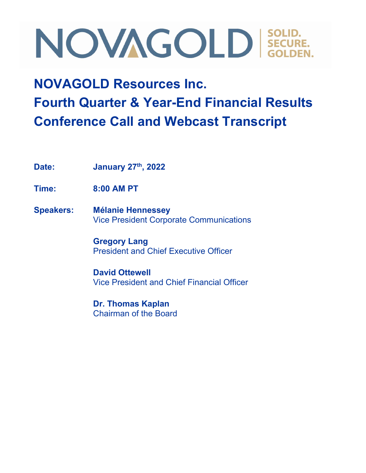### **NOVAGOLD Resources Inc. Fourth Quarter & Year-End Financial Results Conference Call and Webcast Transcript**

**Date: January 27th, 2022**

**Time: 8:00 AM PT**

**Speakers: Mélanie Hennessey** Vice President Corporate Communications

> **Gregory Lang** President and Chief Executive Officer

**David Ottewell** Vice President and Chief Financial Officer

**Dr. Thomas Kaplan** Chairman of the Board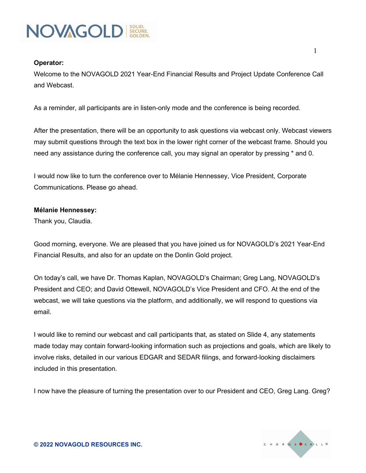

#### **Operator:**

Welcome to the NOVAGOLD 2021 Year-End Financial Results and Project Update Conference Call and Webcast.

As a reminder, all participants are in listen-only mode and the conference is being recorded.

After the presentation, there will be an opportunity to ask questions via webcast only. Webcast viewers may submit questions through the text box in the lower right corner of the webcast frame. Should you need any assistance during the conference call, you may signal an operator by pressing \* and 0.

I would now like to turn the conference over to Mélanie Hennessey, Vice President, Corporate Communications. Please go ahead.

#### **Mélanie Hennessey:**

Thank you, Claudia.

Good morning, everyone. We are pleased that you have joined us for NOVAGOLD's 2021 Year-End Financial Results, and also for an update on the Donlin Gold project.

On today's call, we have Dr. Thomas Kaplan, NOVAGOLD's Chairman; Greg Lang, NOVAGOLD's President and CEO; and David Ottewell, NOVAGOLD's Vice President and CFO. At the end of the webcast, we will take questions via the platform, and additionally, we will respond to questions via email.

I would like to remind our webcast and call participants that, as stated on Slide 4, any statements made today may contain forward-looking information such as projections and goals, which are likely to involve risks, detailed in our various EDGAR and SEDAR filings, and forward-looking disclaimers included in this presentation.

I now have the pleasure of turning the presentation over to our President and CEO, Greg Lang. Greg?

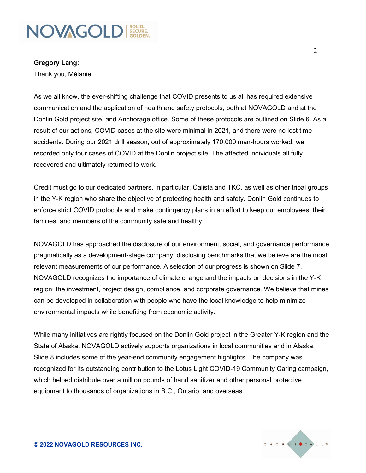

**Gregory Lang:**

Thank you, Mélanie.

As we all know, the ever-shifting challenge that COVID presents to us all has required extensive communication and the application of health and safety protocols, both at NOVAGOLD and at the Donlin Gold project site, and Anchorage office. Some of these protocols are outlined on Slide 6. As a result of our actions, COVID cases at the site were minimal in 2021, and there were no lost time accidents. During our 2021 drill season, out of approximately 170,000 man-hours worked, we recorded only four cases of COVID at the Donlin project site. The affected individuals all fully recovered and ultimately returned to work.

Credit must go to our dedicated partners, in particular, Calista and TKC, as well as other tribal groups in the Y-K region who share the objective of protecting health and safety. Donlin Gold continues to enforce strict COVID protocols and make contingency plans in an effort to keep our employees, their families, and members of the community safe and healthy.

NOVAGOLD has approached the disclosure of our environment, social, and governance performance pragmatically as a development-stage company, disclosing benchmarks that we believe are the most relevant measurements of our performance. A selection of our progress is shown on Slide 7. NOVAGOLD recognizes the importance of climate change and the impacts on decisions in the Y-K region: the investment, project design, compliance, and corporate governance. We believe that mines can be developed in collaboration with people who have the local knowledge to help minimize environmental impacts while benefiting from economic activity.

While many initiatives are rightly focused on the Donlin Gold project in the Greater Y-K region and the State of Alaska, NOVAGOLD actively supports organizations in local communities and in Alaska. Slide 8 includes some of the year-end community engagement highlights. The company was recognized for its outstanding contribution to the Lotus Light COVID-19 Community Caring campaign, which helped distribute over a million pounds of hand sanitizer and other personal protective equipment to thousands of organizations in B.C., Ontario, and overseas.

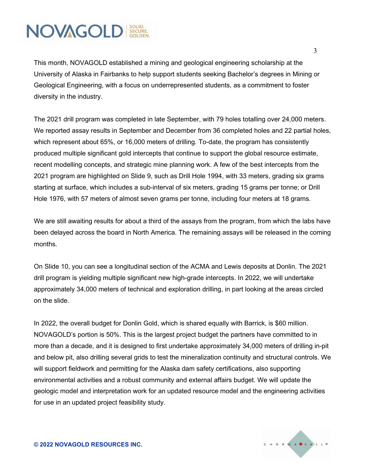This month, NOVAGOLD established a mining and geological engineering scholarship at the University of Alaska in Fairbanks to help support students seeking Bachelor's degrees in Mining or Geological Engineering, with a focus on underrepresented students, as a commitment to foster diversity in the industry.

The 2021 drill program was completed in late September, with 79 holes totalling over 24,000 meters. We reported assay results in September and December from 36 completed holes and 22 partial holes, which represent about 65%, or 16,000 meters of drilling. To-date, the program has consistently produced multiple significant gold intercepts that continue to support the global resource estimate, recent modelling concepts, and strategic mine planning work. A few of the best intercepts from the 2021 program are highlighted on Slide 9, such as Drill Hole 1994, with 33 meters, grading six grams starting at surface, which includes a sub-interval of six meters, grading 15 grams per tonne; or Drill Hole 1976, with 57 meters of almost seven grams per tonne, including four meters at 18 grams.

We are still awaiting results for about a third of the assays from the program, from which the labs have been delayed across the board in North America. The remaining assays will be released in the coming months.

On Slide 10, you can see a longitudinal section of the ACMA and Lewis deposits at Donlin. The 2021 drill program is yielding multiple significant new high-grade intercepts. In 2022, we will undertake approximately 34,000 meters of technical and exploration drilling, in part looking at the areas circled on the slide.

In 2022, the overall budget for Donlin Gold, which is shared equally with Barrick, is \$60 million. NOVAGOLD's portion is 50%. This is the largest project budget the partners have committed to in more than a decade, and it is designed to first undertake approximately 34,000 meters of drilling in-pit and below pit, also drilling several grids to test the mineralization continuity and structural controls. We will support fieldwork and permitting for the Alaska dam safety certifications, also supporting environmental activities and a robust community and external affairs budget. We will update the geologic model and interpretation work for an updated resource model and the engineering activities for use in an updated project feasibility study.

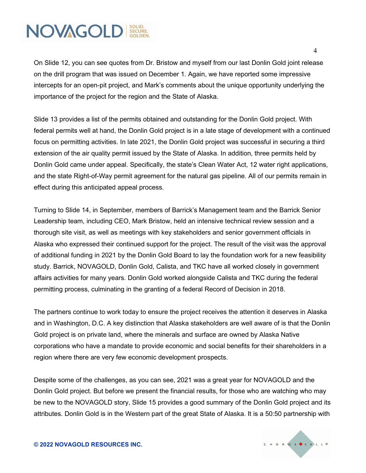On Slide 12, you can see quotes from Dr. Bristow and myself from our last Donlin Gold joint release on the drill program that was issued on December 1. Again, we have reported some impressive intercepts for an open-pit project, and Mark's comments about the unique opportunity underlying the importance of the project for the region and the State of Alaska.

Slide 13 provides a list of the permits obtained and outstanding for the Donlin Gold project. With federal permits well at hand, the Donlin Gold project is in a late stage of development with a continued focus on permitting activities. In late 2021, the Donlin Gold project was successful in securing a third extension of the air quality permit issued by the State of Alaska. In addition, three permits held by Donlin Gold came under appeal. Specifically, the state's Clean Water Act, 12 water right applications, and the state Right-of-Way permit agreement for the natural gas pipeline. All of our permits remain in effect during this anticipated appeal process.

Turning to Slide 14, in September, members of Barrick's Management team and the Barrick Senior Leadership team, including CEO, Mark Bristow, held an intensive technical review session and a thorough site visit, as well as meetings with key stakeholders and senior government officials in Alaska who expressed their continued support for the project. The result of the visit was the approval of additional funding in 2021 by the Donlin Gold Board to lay the foundation work for a new feasibility study. Barrick, NOVAGOLD, Donlin Gold, Calista, and TKC have all worked closely in government affairs activities for many years. Donlin Gold worked alongside Calista and TKC during the federal permitting process, culminating in the granting of a federal Record of Decision in 2018.

The partners continue to work today to ensure the project receives the attention it deserves in Alaska and in Washington, D.C. A key distinction that Alaska stakeholders are well aware of is that the Donlin Gold project is on private land, where the minerals and surface are owned by Alaska Native corporations who have a mandate to provide economic and social benefits for their shareholders in a region where there are very few economic development prospects.

Despite some of the challenges, as you can see, 2021 was a great year for NOVAGOLD and the Donlin Gold project. But before we present the financial results, for those who are watching who may be new to the NOVAGOLD story, Slide 15 provides a good summary of the Donlin Gold project and its attributes. Donlin Gold is in the Western part of the great State of Alaska. It is a 50:50 partnership with

**© 2022 NOVAGOLD RESOURCES INC.**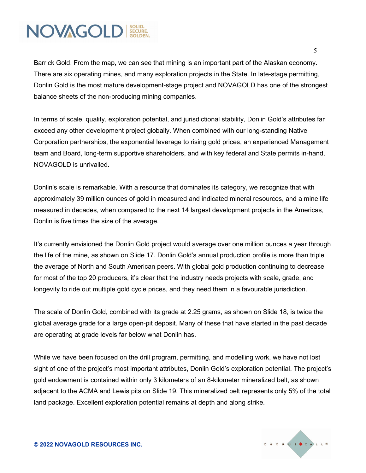Barrick Gold. From the map, we can see that mining is an important part of the Alaskan economy. There are six operating mines, and many exploration projects in the State. In late-stage permitting, Donlin Gold is the most mature development-stage project and NOVAGOLD has one of the strongest balance sheets of the non-producing mining companies.

In terms of scale, quality, exploration potential, and jurisdictional stability, Donlin Gold's attributes far exceed any other development project globally. When combined with our long-standing Native Corporation partnerships, the exponential leverage to rising gold prices, an experienced Management team and Board, long-term supportive shareholders, and with key federal and State permits in-hand, NOVAGOLD is unrivalled.

Donlin's scale is remarkable. With a resource that dominates its category, we recognize that with approximately 39 million ounces of gold in measured and indicated mineral resources, and a mine life measured in decades, when compared to the next 14 largest development projects in the Americas, Donlin is five times the size of the average.

It's currently envisioned the Donlin Gold project would average over one million ounces a year through the life of the mine, as shown on Slide 17. Donlin Gold's annual production profile is more than triple the average of North and South American peers. With global gold production continuing to decrease for most of the top 20 producers, it's clear that the industry needs projects with scale, grade, and longevity to ride out multiple gold cycle prices, and they need them in a favourable jurisdiction.

The scale of Donlin Gold, combined with its grade at 2.25 grams, as shown on Slide 18, is twice the global average grade for a large open-pit deposit. Many of these that have started in the past decade are operating at grade levels far below what Donlin has.

While we have been focused on the drill program, permitting, and modelling work, we have not lost sight of one of the project's most important attributes, Donlin Gold's exploration potential. The project's gold endowment is contained within only 3 kilometers of an 8-kilometer mineralized belt, as shown adjacent to the ACMA and Lewis pits on Slide 19. This mineralized belt represents only 5% of the total land package. Excellent exploration potential remains at depth and along strike.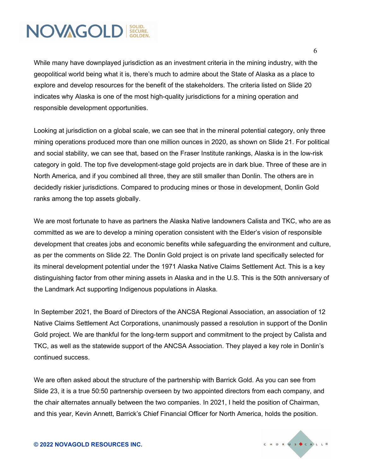While many have downplayed jurisdiction as an investment criteria in the mining industry, with the geopolitical world being what it is, there's much to admire about the State of Alaska as a place to explore and develop resources for the benefit of the stakeholders. The criteria listed on Slide 20 indicates why Alaska is one of the most high-quality jurisdictions for a mining operation and responsible development opportunities.

Looking at jurisdiction on a global scale, we can see that in the mineral potential category, only three mining operations produced more than one million ounces in 2020, as shown on Slide 21. For political and social stability, we can see that, based on the Fraser Institute rankings, Alaska is in the low-risk category in gold. The top five development-stage gold projects are in dark blue. Three of these are in North America, and if you combined all three, they are still smaller than Donlin. The others are in decidedly riskier jurisdictions. Compared to producing mines or those in development, Donlin Gold ranks among the top assets globally.

We are most fortunate to have as partners the Alaska Native landowners Calista and TKC, who are as committed as we are to develop a mining operation consistent with the Elder's vision of responsible development that creates jobs and economic benefits while safeguarding the environment and culture, as per the comments on Slide 22. The Donlin Gold project is on private land specifically selected for its mineral development potential under the 1971 Alaska Native Claims Settlement Act. This is a key distinguishing factor from other mining assets in Alaska and in the U.S. This is the 50th anniversary of the Landmark Act supporting Indigenous populations in Alaska.

In September 2021, the Board of Directors of the ANCSA Regional Association, an association of 12 Native Claims Settlement Act Corporations, unanimously passed a resolution in support of the Donlin Gold project. We are thankful for the long-term support and commitment to the project by Calista and TKC, as well as the statewide support of the ANCSA Association. They played a key role in Donlin's continued success.

We are often asked about the structure of the partnership with Barrick Gold. As you can see from Slide 23, it is a true 50:50 partnership overseen by two appointed directors from each company, and the chair alternates annually between the two companies. In 2021, I held the position of Chairman, and this year, Kevin Annett, Barrick's Chief Financial Officer for North America, holds the position.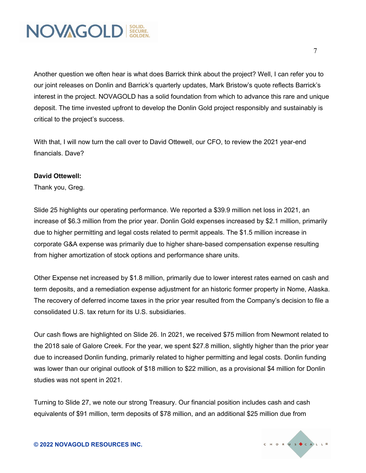

Another question we often hear is what does Barrick think about the project? Well, I can refer you to our joint releases on Donlin and Barrick's quarterly updates, Mark Bristow's quote reflects Barrick's interest in the project. NOVAGOLD has a solid foundation from which to advance this rare and unique deposit. The time invested upfront to develop the Donlin Gold project responsibly and sustainably is critical to the project's success.

With that, I will now turn the call over to David Ottewell, our CFO, to review the 2021 year-end financials. Dave?

#### **David Ottewell:**

Thank you, Greg.

Slide 25 highlights our operating performance. We reported a \$39.9 million net loss in 2021, an increase of \$6.3 million from the prior year. Donlin Gold expenses increased by \$2.1 million, primarily due to higher permitting and legal costs related to permit appeals. The \$1.5 million increase in corporate G&A expense was primarily due to higher share-based compensation expense resulting from higher amortization of stock options and performance share units.

Other Expense net increased by \$1.8 million, primarily due to lower interest rates earned on cash and term deposits, and a remediation expense adjustment for an historic former property in Nome, Alaska. The recovery of deferred income taxes in the prior year resulted from the Company's decision to file a consolidated U.S. tax return for its U.S. subsidiaries.

Our cash flows are highlighted on Slide 26. In 2021, we received \$75 million from Newmont related to the 2018 sale of Galore Creek. For the year, we spent \$27.8 million, slightly higher than the prior year due to increased Donlin funding, primarily related to higher permitting and legal costs. Donlin funding was lower than our original outlook of \$18 million to \$22 million, as a provisional \$4 million for Donlin studies was not spent in 2021.

Turning to Slide 27, we note our strong Treasury. Our financial position includes cash and cash equivalents of \$91 million, term deposits of \$78 million, and an additional \$25 million due from

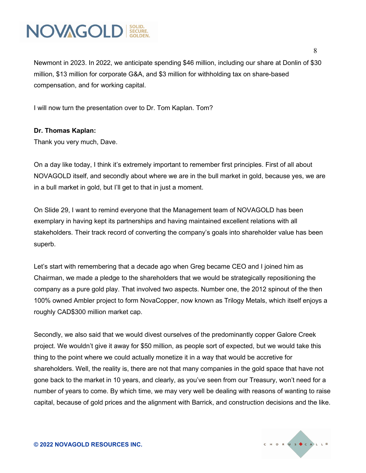

Newmont in 2023. In 2022, we anticipate spending \$46 million, including our share at Donlin of \$30 million, \$13 million for corporate G&A, and \$3 million for withholding tax on share-based compensation, and for working capital.

I will now turn the presentation over to Dr. Tom Kaplan. Tom?

#### **Dr. Thomas Kaplan:**

Thank you very much, Dave.

On a day like today, I think it's extremely important to remember first principles. First of all about NOVAGOLD itself, and secondly about where we are in the bull market in gold, because yes, we are in a bull market in gold, but I'll get to that in just a moment.

On Slide 29, I want to remind everyone that the Management team of NOVAGOLD has been exemplary in having kept its partnerships and having maintained excellent relations with all stakeholders. Their track record of converting the company's goals into shareholder value has been superb.

Let's start with remembering that a decade ago when Greg became CEO and I joined him as Chairman, we made a pledge to the shareholders that we would be strategically repositioning the company as a pure gold play. That involved two aspects. Number one, the 2012 spinout of the then 100% owned Ambler project to form NovaCopper, now known as Trilogy Metals, which itself enjoys a roughly CAD\$300 million market cap.

Secondly, we also said that we would divest ourselves of the predominantly copper Galore Creek project. We wouldn't give it away for \$50 million, as people sort of expected, but we would take this thing to the point where we could actually monetize it in a way that would be accretive for shareholders. Well, the reality is, there are not that many companies in the gold space that have not gone back to the market in 10 years, and clearly, as you've seen from our Treasury, won't need for a number of years to come. By which time, we may very well be dealing with reasons of wanting to raise capital, because of gold prices and the alignment with Barrick, and construction decisions and the like.

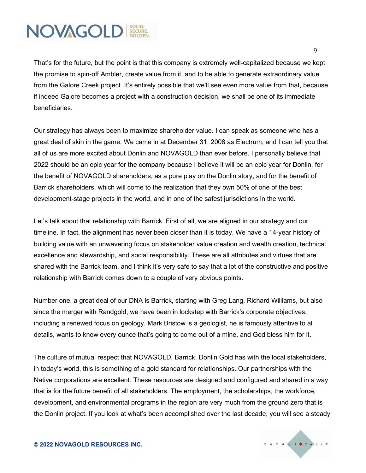That's for the future, but the point is that this company is extremely well-capitalized because we kept the promise to spin-off Ambler, create value from it, and to be able to generate extraordinary value from the Galore Creek project. It's entirely possible that we'll see even more value from that, because if indeed Galore becomes a project with a construction decision, we shall be one of its immediate beneficiaries.

Our strategy has always been to maximize shareholder value. I can speak as someone who has a great deal of skin in the game. We came in at December 31, 2008 as Electrum, and I can tell you that all of us are more excited about Donlin and NOVAGOLD than ever before. I personally believe that 2022 should be an epic year for the company because I believe it will be an epic year for Donlin, for the benefit of NOVAGOLD shareholders, as a pure play on the Donlin story, and for the benefit of Barrick shareholders, which will come to the realization that they own 50% of one of the best development-stage projects in the world, and in one of the safest jurisdictions in the world.

Let's talk about that relationship with Barrick. First of all, we are aligned in our strategy and our timeline. In fact, the alignment has never been closer than it is today. We have a 14-year history of building value with an unwavering focus on stakeholder value creation and wealth creation, technical excellence and stewardship, and social responsibility. These are all attributes and virtues that are shared with the Barrick team, and I think it's very safe to say that a lot of the constructive and positive relationship with Barrick comes down to a couple of very obvious points.

Number one, a great deal of our DNA is Barrick, starting with Greg Lang, Richard Williams, but also since the merger with Randgold, we have been in lockstep with Barrick's corporate objectives, including a renewed focus on geology. Mark Bristow is a geologist, he is famously attentive to all details, wants to know every ounce that's going to come out of a mine, and God bless him for it.

The culture of mutual respect that NOVAGOLD, Barrick, Donlin Gold has with the local stakeholders, in today's world, this is something of a gold standard for relationships. Our partnerships with the Native corporations are excellent. These resources are designed and configured and shared in a way that is for the future benefit of all stakeholders. The employment, the scholarships, the workforce, development, and environmental programs in the region are very much from the ground zero that is the Donlin project. If you look at what's been accomplished over the last decade, you will see a steady

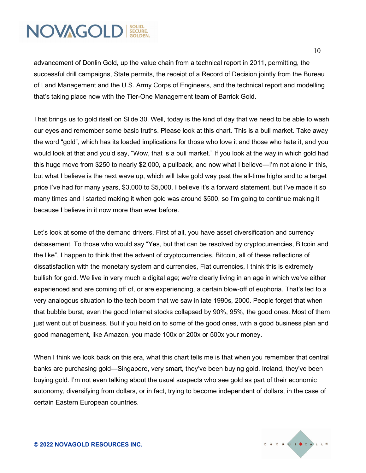advancement of Donlin Gold, up the value chain from a technical report in 2011, permitting, the successful drill campaigns, State permits, the receipt of a Record of Decision jointly from the Bureau of Land Management and the U.S. Army Corps of Engineers, and the technical report and modelling that's taking place now with the Tier-One Management team of Barrick Gold.

That brings us to gold itself on Slide 30. Well, today is the kind of day that we need to be able to wash our eyes and remember some basic truths. Please look at this chart. This is a bull market. Take away the word "gold", which has its loaded implications for those who love it and those who hate it, and you would look at that and you'd say, "Wow, that is a bull market." If you look at the way in which gold had this huge move from \$250 to nearly \$2,000, a pullback, and now what I believe—I'm not alone in this, but what I believe is the next wave up, which will take gold way past the all-time highs and to a target price I've had for many years, \$3,000 to \$5,000. I believe it's a forward statement, but I've made it so many times and I started making it when gold was around \$500, so I'm going to continue making it because I believe in it now more than ever before.

Let's look at some of the demand drivers. First of all, you have asset diversification and currency debasement. To those who would say "Yes, but that can be resolved by cryptocurrencies, Bitcoin and the like", I happen to think that the advent of cryptocurrencies, Bitcoin, all of these reflections of dissatisfaction with the monetary system and currencies, Fiat currencies, I think this is extremely bullish for gold. We live in very much a digital age; we're clearly living in an age in which we've either experienced and are coming off of, or are experiencing, a certain blow-off of euphoria. That's led to a very analogous situation to the tech boom that we saw in late 1990s, 2000. People forget that when that bubble burst, even the good Internet stocks collapsed by 90%, 95%, the good ones. Most of them just went out of business. But if you held on to some of the good ones, with a good business plan and good management, like Amazon, you made 100x or 200x or 500x your money.

When I think we look back on this era, what this chart tells me is that when you remember that central banks are purchasing gold—Singapore, very smart, they've been buying gold. Ireland, they've been buying gold. I'm not even talking about the usual suspects who see gold as part of their economic autonomy, diversifying from dollars, or in fact, trying to become independent of dollars, in the case of certain Eastern European countries.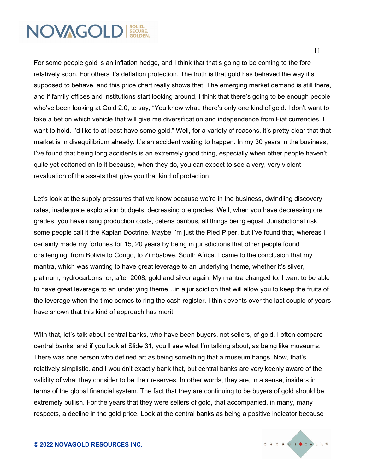For some people gold is an inflation hedge, and I think that that's going to be coming to the fore relatively soon. For others it's deflation protection. The truth is that gold has behaved the way it's supposed to behave, and this price chart really shows that. The emerging market demand is still there, and if family offices and institutions start looking around, I think that there's going to be enough people who've been looking at Gold 2.0, to say, "You know what, there's only one kind of gold. I don't want to take a bet on which vehicle that will give me diversification and independence from Fiat currencies. I want to hold. I'd like to at least have some gold." Well, for a variety of reasons, it's pretty clear that that market is in disequilibrium already. It's an accident waiting to happen. In my 30 years in the business, I've found that being long accidents is an extremely good thing, especially when other people haven't quite yet cottoned on to it because, when they do, you can expect to see a very, very violent revaluation of the assets that give you that kind of protection.

Let's look at the supply pressures that we know because we're in the business, dwindling discovery rates, inadequate exploration budgets, decreasing ore grades. Well, when you have decreasing ore grades, you have rising production costs, ceteris paribus, all things being equal. Jurisdictional risk, some people call it the Kaplan Doctrine. Maybe I'm just the Pied Piper, but I've found that, whereas I certainly made my fortunes for 15, 20 years by being in jurisdictions that other people found challenging, from Bolivia to Congo, to Zimbabwe, South Africa. I came to the conclusion that my mantra, which was wanting to have great leverage to an underlying theme, whether it's silver, platinum, hydrocarbons, or, after 2008, gold and silver again. My mantra changed to, I want to be able to have great leverage to an underlying theme…in a jurisdiction that will allow you to keep the fruits of the leverage when the time comes to ring the cash register. I think events over the last couple of years have shown that this kind of approach has merit.

With that, let's talk about central banks, who have been buyers, not sellers, of gold. I often compare central banks, and if you look at Slide 31, you'll see what I'm talking about, as being like museums. There was one person who defined art as being something that a museum hangs. Now, that's relatively simplistic, and I wouldn't exactly bank that, but central banks are very keenly aware of the validity of what they consider to be their reserves. In other words, they are, in a sense, insiders in terms of the global financial system. The fact that they are continuing to be buyers of gold should be extremely bullish. For the years that they were sellers of gold, that accompanied, in many, many respects, a decline in the gold price. Look at the central banks as being a positive indicator because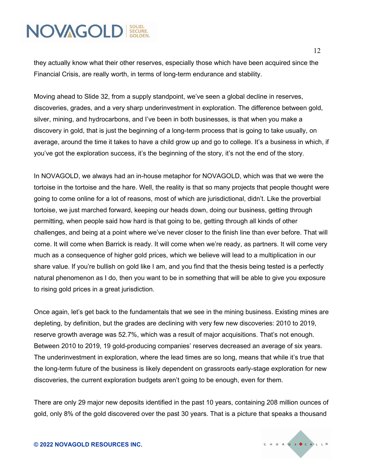they actually know what their other reserves, especially those which have been acquired since the Financial Crisis, are really worth, in terms of long-term endurance and stability.

Moving ahead to Slide 32, from a supply standpoint, we've seen a global decline in reserves, discoveries, grades, and a very sharp underinvestment in exploration. The difference between gold, silver, mining, and hydrocarbons, and I've been in both businesses, is that when you make a discovery in gold, that is just the beginning of a long-term process that is going to take usually, on average, around the time it takes to have a child grow up and go to college. It's a business in which, if you've got the exploration success, it's the beginning of the story, it's not the end of the story.

In NOVAGOLD, we always had an in-house metaphor for NOVAGOLD, which was that we were the tortoise in the tortoise and the hare. Well, the reality is that so many projects that people thought were going to come online for a lot of reasons, most of which are jurisdictional, didn't. Like the proverbial tortoise, we just marched forward, keeping our heads down, doing our business, getting through permitting, when people said how hard is that going to be, getting through all kinds of other challenges, and being at a point where we've never closer to the finish line than ever before. That will come. It will come when Barrick is ready. It will come when we're ready, as partners. It will come very much as a consequence of higher gold prices, which we believe will lead to a multiplication in our share value. If you're bullish on gold like I am, and you find that the thesis being tested is a perfectly natural phenomenon as I do, then you want to be in something that will be able to give you exposure to rising gold prices in a great jurisdiction.

Once again, let's get back to the fundamentals that we see in the mining business. Existing mines are depleting, by definition, but the grades are declining with very few new discoveries: 2010 to 2019, reserve growth average was 52.7%, which was a result of major acquisitions. That's not enough. Between 2010 to 2019, 19 gold-producing companies' reserves decreased an average of six years. The underinvestment in exploration, where the lead times are so long, means that while it's true that the long-term future of the business is likely dependent on grassroots early-stage exploration for new discoveries, the current exploration budgets aren't going to be enough, even for them.

There are only 29 major new deposits identified in the past 10 years, containing 208 million ounces of gold, only 8% of the gold discovered over the past 30 years. That is a picture that speaks a thousand

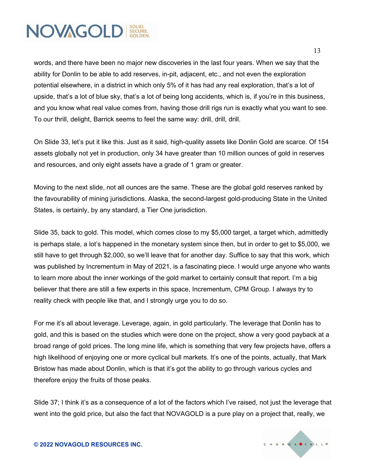words, and there have been no major new discoveries in the last four years. When we say that the ability for Donlin to be able to add reserves, in-pit, adjacent, etc., and not even the exploration potential elsewhere, in a district in which only 5% of it has had any real exploration, that's a lot of upside, that's a lot of blue sky, that's a lot of being long accidents, which is, if you're in this business, and you know what real value comes from, having those drill rigs run is exactly what you want to see. To our thrill, delight, Barrick seems to feel the same way: drill, drill, drill.

On Slide 33, let's put it like this. Just as it said, high-quality assets like Donlin Gold are scarce. Of 154 assets globally not yet in production, only 34 have greater than 10 million ounces of gold in reserves and resources, and only eight assets have a grade of 1 gram or greater.

Moving to the next slide, not all ounces are the same. These are the global gold reserves ranked by the favourability of mining jurisdictions. Alaska, the second-largest gold-producing State in the United States, is certainly, by any standard, a Tier One jurisdiction.

Slide 35, back to gold. This model, which comes close to my \$5,000 target, a target which, admittedly is perhaps stale, a lot's happened in the monetary system since then, but in order to get to \$5,000, we still have to get through \$2,000, so we'll leave that for another day. Suffice to say that this work, which was published by Incrementum in May of 2021, is a fascinating piece. I would urge anyone who wants to learn more about the inner workings of the gold market to certainly consult that report. I'm a big believer that there are still a few experts in this space, Incrementum, CPM Group. I always try to reality check with people like that, and I strongly urge you to do so.

For me it's all about leverage. Leverage, again, in gold particularly. The leverage that Donlin has to gold, and this is based on the studies which were done on the project, show a very good payback at a broad range of gold prices. The long mine life, which is something that very few projects have, offers a high likelihood of enjoying one or more cyclical bull markets. It's one of the points, actually, that Mark Bristow has made about Donlin, which is that it's got the ability to go through various cycles and therefore enjoy the fruits of those peaks.

Slide 37; I think it's as a consequence of a lot of the factors which I've raised, not just the leverage that went into the gold price, but also the fact that NOVAGOLD is a pure play on a project that, really, we



**© 2022 NOVAGOLD RESOURCES INC.**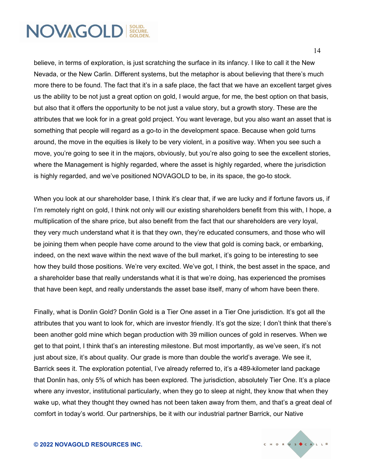believe, in terms of exploration, is just scratching the surface in its infancy. I like to call it the New Nevada, or the New Carlin. Different systems, but the metaphor is about believing that there's much more there to be found. The fact that it's in a safe place, the fact that we have an excellent target gives us the ability to be not just a great option on gold, I would argue, for me, the best option on that basis, but also that it offers the opportunity to be not just a value story, but a growth story. These are the attributes that we look for in a great gold project. You want leverage, but you also want an asset that is something that people will regard as a go-to in the development space. Because when gold turns around, the move in the equities is likely to be very violent, in a positive way. When you see such a move, you're going to see it in the majors, obviously, but you're also going to see the excellent stories, where the Management is highly regarded, where the asset is highly regarded, where the jurisdiction is highly regarded, and we've positioned NOVAGOLD to be, in its space, the go-to stock.

When you look at our shareholder base, I think it's clear that, if we are lucky and if fortune favors us, if I'm remotely right on gold, I think not only will our existing shareholders benefit from this with, I hope, a multiplication of the share price, but also benefit from the fact that our shareholders are very loyal, they very much understand what it is that they own, they're educated consumers, and those who will be joining them when people have come around to the view that gold is coming back, or embarking, indeed, on the next wave within the next wave of the bull market, it's going to be interesting to see how they build those positions. We're very excited. We've got, I think, the best asset in the space, and a shareholder base that really understands what it is that we're doing, has experienced the promises that have been kept, and really understands the asset base itself, many of whom have been there.

Finally, what is Donlin Gold? Donlin Gold is a Tier One asset in a Tier One jurisdiction. It's got all the attributes that you want to look for, which are investor friendly. It's got the size; I don't think that there's been another gold mine which began production with 39 million ounces of gold in reserves. When we get to that point, I think that's an interesting milestone. But most importantly, as we've seen, it's not just about size, it's about quality. Our grade is more than double the world's average. We see it, Barrick sees it. The exploration potential, I've already referred to, it's a 489-kilometer land package that Donlin has, only 5% of which has been explored. The jurisdiction, absolutely Tier One. It's a place where any investor, institutional particularly, when they go to sleep at night, they know that when they wake up, what they thought they owned has not been taken away from them, and that's a great deal of comfort in today's world. Our partnerships, be it with our industrial partner Barrick, our Native

14

CHORUS CALL®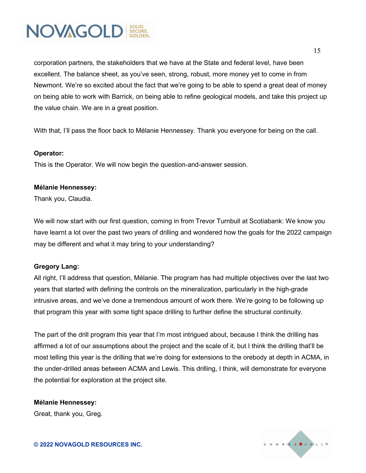

corporation partners, the stakeholders that we have at the State and federal level, have been excellent. The balance sheet, as you've seen, strong, robust, more money yet to come in from Newmont. We're so excited about the fact that we're going to be able to spend a great deal of money on being able to work with Barrick, on being able to refine geological models, and take this project up the value chain. We are in a great position.

With that, I'll pass the floor back to Mélanie Hennessey. Thank you everyone for being on the call.

#### **Operator:**

This is the Operator. We will now begin the question-and-answer session.

#### **Mélanie Hennessey:**

Thank you, Claudia.

We will now start with our first question, coming in from Trevor Turnbull at Scotiabank: We know you have learnt a lot over the past two years of drilling and wondered how the goals for the 2022 campaign may be different and what it may bring to your understanding?

#### **Gregory Lang:**

All right, I'll address that question, Mélanie. The program has had multiple objectives over the last two years that started with defining the controls on the mineralization, particularly in the high-grade intrusive areas, and we've done a tremendous amount of work there. We're going to be following up that program this year with some tight space drilling to further define the structural continuity.

The part of the drill program this year that I'm most intrigued about, because I think the drilling has affirmed a lot of our assumptions about the project and the scale of it, but I think the drilling that'll be most telling this year is the drilling that we're doing for extensions to the orebody at depth in ACMA, in the under-drilled areas between ACMA and Lewis. This drilling, I think, will demonstrate for everyone the potential for exploration at the project site.

**Mélanie Hennessey:** Great, thank you, Greg.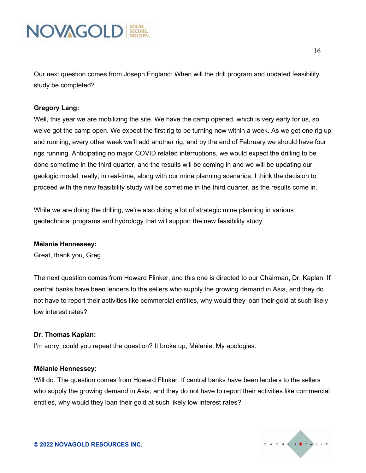

Our next question comes from Joseph England: When will the drill program and updated feasibility study be completed?

#### **Gregory Lang:**

Well, this year we are mobilizing the site. We have the camp opened, which is very early for us, so we've got the camp open. We expect the first rig to be turning now within a week. As we get one rig up and running, every other week we'll add another rig, and by the end of February we should have four rigs running. Anticipating no major COVID related interruptions, we would expect the drilling to be done sometime in the third quarter, and the results will be coming in and we will be updating our geologic model, really, in real-time, along with our mine planning scenarios. I think the decision to proceed with the new feasibility study will be sometime in the third quarter, as the results come in.

While we are doing the drilling, we're also doing a lot of strategic mine planning in various geotechnical programs and hydrology that will support the new feasibility study.

#### **Mélanie Hennessey:**

Great, thank you, Greg.

The next question comes from Howard Flinker, and this one is directed to our Chairman, Dr. Kaplan. If central banks have been lenders to the sellers who supply the growing demand in Asia, and they do not have to report their activities like commercial entities, why would they loan their gold at such likely low interest rates?

#### **Dr. Thomas Kaplan:**

I'm sorry, could you repeat the question? It broke up, Mélanie. My apologies.

#### **Mélanie Hennessey:**

Will do. The question comes from Howard Flinker. If central banks have been lenders to the sellers who supply the growing demand in Asia, and they do not have to report their activities like commercial entities, why would they loan their gold at such likely low interest rates?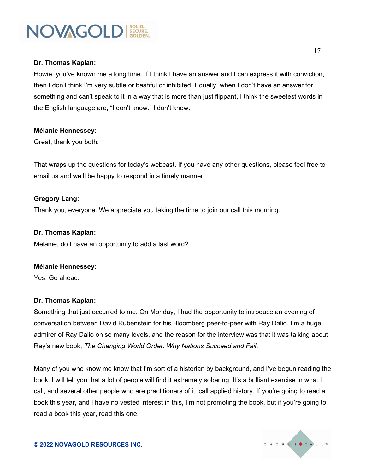#### **Dr. Thomas Kaplan:**

Howie, you've known me a long time. If I think I have an answer and I can express it with conviction, then I don't think I'm very subtle or bashful or inhibited. Equally, when I don't have an answer for something and can't speak to it in a way that is more than just flippant, I think the sweetest words in the English language are, "I don't know." I don't know.

#### **Mélanie Hennessey:**

Great, thank you both.

That wraps up the questions for today's webcast. If you have any other questions, please feel free to email us and we'll be happy to respond in a timely manner.

#### **Gregory Lang:**

Thank you, everyone. We appreciate you taking the time to join our call this morning.

#### **Dr. Thomas Kaplan:**

Mélanie, do I have an opportunity to add a last word?

#### **Mélanie Hennessey:**

Yes. Go ahead.

#### **Dr. Thomas Kaplan:**

Something that just occurred to me. On Monday, I had the opportunity to introduce an evening of conversation between David Rubenstein for his Bloomberg peer-to-peer with Ray Dalio. I'm a huge admirer of Ray Dalio on so many levels, and the reason for the interview was that it was talking about Ray's new book, *The Changing World Order: Why Nations Succeed and Fail*.

Many of you who know me know that I'm sort of a historian by background, and I've begun reading the book. I will tell you that a lot of people will find it extremely sobering. It's a brilliant exercise in what I call, and several other people who are practitioners of it, call applied history. If you're going to read a book this year, and I have no vested interest in this, I'm not promoting the book, but if you're going to read a book this year, read this one.